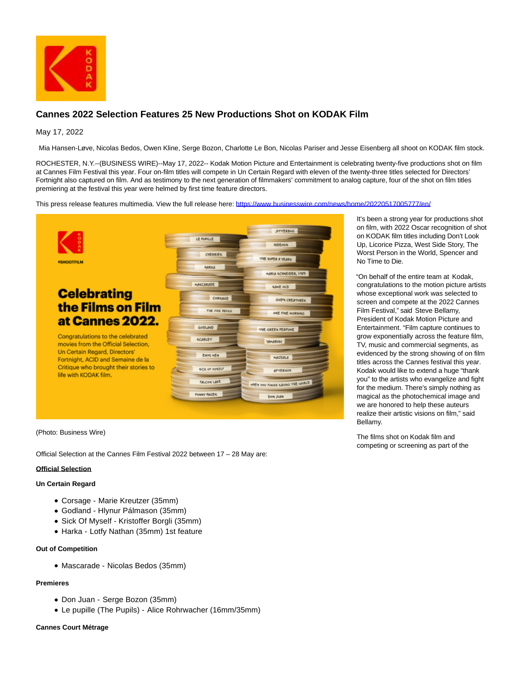

# **Cannes 2022 Selection Features 25 New Productions Shot on KODAK Film**

# May 17, 2022

Mia Hansen-Løve, Nicolas Bedos, Owen Kline, Serge Bozon, Charlotte Le Bon, Nicolas Pariser and Jesse Eisenberg all shoot on KODAK film stock.

ROCHESTER, N.Y.--(BUSINESS WIRE)--May 17, 2022-- Kodak Motion Picture and Entertainment is celebrating twenty-five productions shot on film at Cannes Film Festival this year. Four on-film titles will compete in Un Certain Regard with eleven of the twenty-three titles selected for Directors' Fortnight also captured on film. And as testimony to the next generation of filmmakers' commitment to analog capture, four of the shot on film titles premiering at the festival this year were helmed by first time feature directors.

This press release features multimedia. View the full release here:<https://www.businesswire.com/news/home/20220517005777/en/>



(Photo: Business Wire)

Official Selection at the Cannes Film Festival 2022 between 17 – 28 May are:

#### **Official Selection**

### **Un Certain Regard**

- Corsage Marie Kreutzer (35mm)
- Godland Hlynur Pálmason (35mm)
- Sick Of Myself Kristoffer Borgli (35mm)
- Harka Lotfy Nathan (35mm) 1st feature

## **Out of Competition**

Mascarade - Nicolas Bedos (35mm)

## **Premieres**

- Don Juan Serge Bozon (35mm)
- Le pupille (The Pupils) Alice Rohrwacher (16mm/35mm)

#### **Cannes Court Métrage**

It's been a strong year for productions shot on film, with 2022 Oscar recognition of shot on KODAK film titles including Don't Look Up, Licorice Pizza, West Side Story, The Worst Person in the World, Spencer and No Time to Die.

"On behalf of the entire team at Kodak, congratulations to the motion picture artists whose exceptional work was selected to screen and compete at the 2022 Cannes Film Festival," said Steve Bellamy, President of Kodak Motion Picture and Entertainment. "Film capture continues to grow exponentially across the feature film, TV, music and commercial segments, as evidenced by the strong showing of on film titles across the Cannes festival this year. Kodak would like to extend a huge "thank you" to the artists who evangelize and fight for the medium. There's simply nothing as magical as the photochemical image and we are honored to help these auteurs realize their artistic visions on film," said Bellamy.

The films shot on Kodak film and competing or screening as part of the